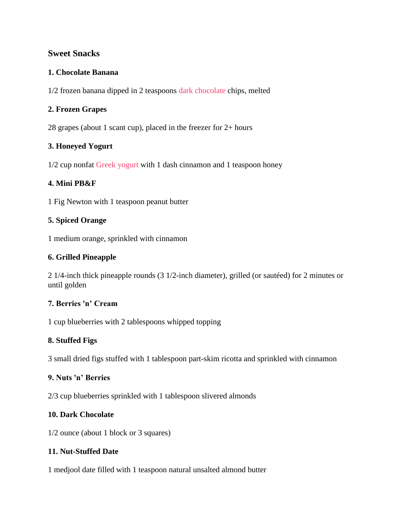# **Sweet Snacks**

### **1. Chocolate Banana**

1/2 frozen banana dipped in 2 teaspoons [dark chocolate](http://www.greatist.com/health/is-chocolate-healthy/) chips, melted

### **2. Frozen Grapes**

28 grapes (about 1 scant cup), placed in the freezer for 2+ hours

### **3. Honeyed Yogurt**

1/2 cup nonfat [Greek yogurt](http://www.greatist.com/health/greek-yogurt/) with 1 dash cinnamon and 1 teaspoon honey

### **4. Mini PB&F**

1 Fig Newton with 1 teaspoon peanut butter

### **5. Spiced Orange**

1 medium orange, sprinkled with cinnamon

### **6. Grilled Pineapple**

2 1/4-inch thick pineapple rounds (3 1/2-inch diameter), grilled (or sautéed) for 2 minutes or until golden

### **7. Berries 'n' Cream**

1 cup blueberries with 2 tablespoons whipped topping

# **8. Stuffed Figs**

3 small dried figs stuffed with 1 tablespoon part-skim ricotta and sprinkled with cinnamon

### **9. Nuts 'n' Berries**

2/3 cup blueberries sprinkled with 1 tablespoon slivered almonds

# **10. Dark Chocolate**

1/2 ounce (about 1 block or 3 squares)

# **11. Nut-Stuffed Date**

1 medjool date filled with 1 teaspoon natural unsalted almond butter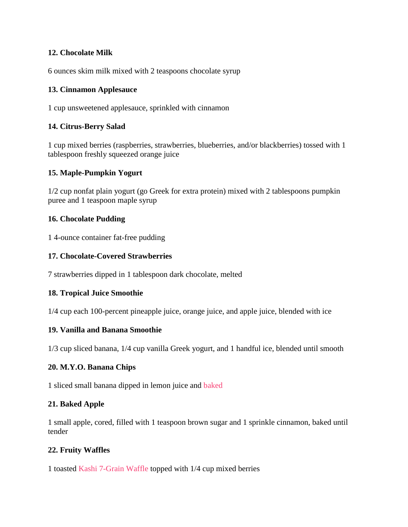## **12. Chocolate Milk**

6 ounces skim milk mixed with 2 teaspoons chocolate syrup

### **13. Cinnamon Applesauce**

1 cup unsweetened applesauce, sprinkled with cinnamon

### **14. Citrus-Berry Salad**

1 cup mixed berries (raspberries, strawberries, blueberries, and/or blackberries) tossed with 1 tablespoon freshly squeezed orange juice

### **15. Maple-Pumpkin Yogurt**

1/2 cup nonfat plain yogurt (go Greek for extra protein) mixed with 2 tablespoons pumpkin puree and 1 teaspoon maple syrup

### **16. Chocolate Pudding**

1 4-ounce container fat-free pudding

#### **17. Chocolate-Covered Strawberries**

7 strawberries dipped in 1 tablespoon dark chocolate, melted

#### **18. Tropical Juice Smoothie**

1/4 cup each 100-percent pineapple juice, orange juice, and apple juice, blended with ice

### **19. Vanilla and Banana Smoothie**

1/3 cup sliced banana, 1/4 cup vanilla Greek yogurt, and 1 handful ice, blended until smooth

#### **20. M.Y.O. Banana Chips**

1 sliced small banana dipped in lemon juice and [baked](http://www.ehow.com/how_2183811_make-banana-chips.html)

#### **21. Baked Apple**

1 small apple, cored, filled with 1 teaspoon brown sugar and 1 sprinkle cinnamon, baked until tender

#### **22. Fruity Waffles**

1 toasted [Kashi 7-Grain Waffle](https://www.kashi.com/our-foods/waffles/kashi-waffles-7grain) topped with 1/4 cup mixed berries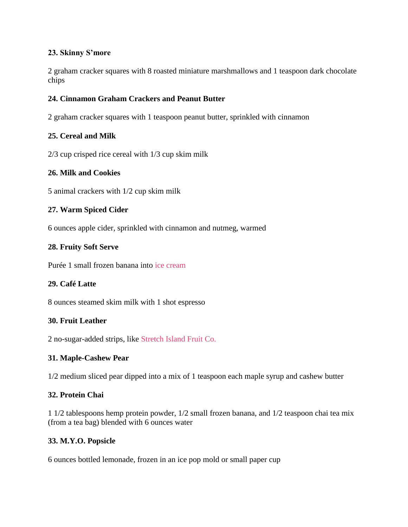## **23. Skinny S'more**

2 graham cracker squares with 8 roasted miniature marshmallows and 1 teaspoon dark chocolate chips

# **24. Cinnamon Graham Crackers and Peanut Butter**

2 graham cracker squares with 1 teaspoon peanut butter, sprinkled with cinnamon

# **25. Cereal and Milk**

2/3 cup crisped rice cereal with 1/3 cup skim milk

# **26. Milk and Cookies**

5 animal crackers with 1/2 cup skim milk

# **27. Warm Spiced Cider**

6 ounces apple cider, sprinkled with cinnamon and nutmeg, warmed

# **28. Fruity Soft Serve**

Purée 1 small frozen banana into [ice cream](http://greatist.com/health/our-banana-ice-cream-made-only-bananas)

# **29. Café Latte**

8 ounces steamed skim milk with 1 shot espresso

#### **30. Fruit Leather**

2 no-sugar-added strips, like [Stretch Island Fruit Co.](http://www.stretchislandfruit.com/)

#### **31. Maple-Cashew Pear**

1/2 medium sliced pear dipped into a mix of 1 teaspoon each maple syrup and cashew butter

# **32. Protein Chai**

1 1/2 tablespoons hemp protein powder, 1/2 small frozen banana, and 1/2 teaspoon chai tea mix (from a tea bag) blended with 6 ounces water

#### **33. M.Y.O. Popsicle**

6 ounces bottled lemonade, frozen in an ice pop mold or small paper cup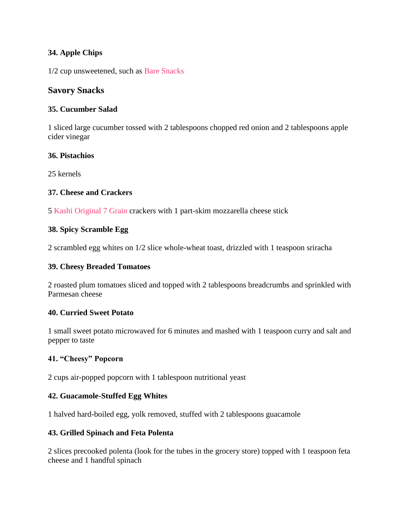# **34. Apple Chips**

1/2 cup unsweetened, such as [Bare Snacks](http://www.baresnacks.com/products/fuji-apple-chips)

# **Savory Snacks**

# **35. Cucumber Salad**

1 sliced large cucumber tossed with 2 tablespoons chopped red onion and 2 tablespoons apple cider vinegar

### **36. Pistachios**

25 kernels

# **37. Cheese and Crackers**

5 [Kashi Original 7 Grain](https://www.kashi.com/our-foods/crackers/kashi-crackers-original-7grain) crackers with 1 part-skim mozzarella cheese stick

### **38. Spicy Scramble Egg**

2 scrambled egg whites on 1/2 slice whole-wheat toast, drizzled with 1 teaspoon sriracha

### **39. Cheesy Breaded Tomatoes**

2 roasted plum tomatoes sliced and topped with 2 tablespoons breadcrumbs and sprinkled with Parmesan cheese

# **40. Curried Sweet Potato**

1 small sweet potato microwaved for 6 minutes and mashed with 1 teaspoon curry and salt and pepper to taste

# **41. "Cheesy" Popcorn**

2 cups air-popped popcorn with 1 tablespoon nutritional yeast

# **42. Guacamole-Stuffed Egg Whites**

1 halved hard-boiled egg, yolk removed, stuffed with 2 tablespoons guacamole

# **43. Grilled Spinach and Feta Polenta**

2 slices precooked polenta (look for the tubes in the grocery store) topped with 1 teaspoon feta cheese and 1 handful spinach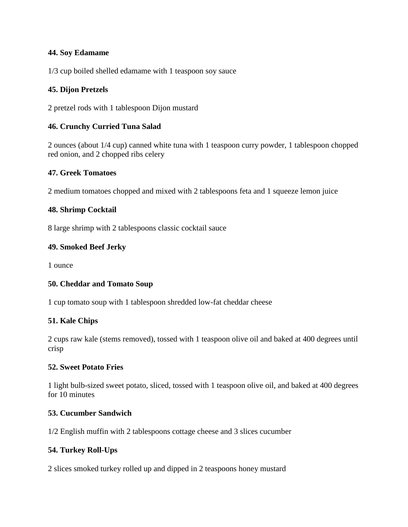## **44. Soy Edamame**

1/3 cup boiled shelled edamame with 1 teaspoon soy sauce

## **45. Dijon Pretzels**

2 pretzel rods with 1 tablespoon Dijon mustard

### **46. Crunchy Curried Tuna Salad**

2 ounces (about 1/4 cup) canned white tuna with 1 teaspoon curry powder, 1 tablespoon chopped red onion, and 2 chopped ribs celery

### **47. Greek Tomatoes**

2 medium tomatoes chopped and mixed with 2 tablespoons feta and 1 squeeze lemon juice

#### **48. Shrimp Cocktail**

8 large shrimp with 2 tablespoons classic cocktail sauce

#### **49. Smoked Beef Jerky**

1 ounce

#### **50. Cheddar and Tomato Soup**

1 cup tomato soup with 1 tablespoon shredded low-fat cheddar cheese

#### **51. Kale Chips**

2 cups raw kale (stems removed), tossed with 1 teaspoon olive oil and baked at 400 degrees until crisp

#### **52. Sweet Potato Fries**

1 light bulb-sized sweet potato, sliced, tossed with 1 teaspoon olive oil, and baked at 400 degrees for 10 minutes

#### **53. Cucumber Sandwich**

1/2 English muffin with 2 tablespoons cottage cheese and 3 slices cucumber

#### **54. Turkey Roll-Ups**

2 slices smoked turkey rolled up and dipped in 2 teaspoons honey mustard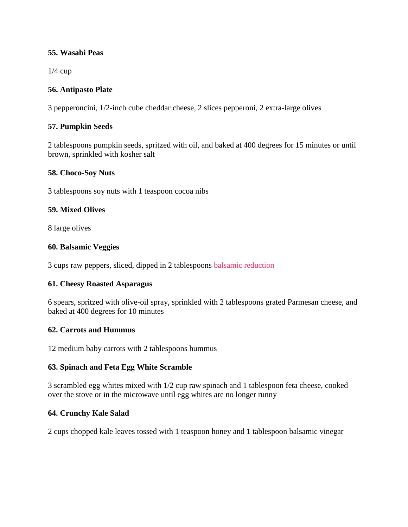## **55. Wasabi Peas**

1/4 cup

## **56. Antipasto Plate**

3 pepperoncini, 1/2-inch cube cheddar cheese, 2 slices pepperoni, 2 extra-large olives

### **57. Pumpkin Seeds**

2 tablespoons pumpkin seeds, spritzed with oil, and baked at 400 degrees for 15 minutes or until brown, sprinkled with kosher salt

#### **58. Choco-Soy Nuts**

3 tablespoons soy nuts with 1 teaspoon cocoa nibs

#### **59. Mixed Olives**

8 large olives

#### **60. Balsamic Veggies**

3 cups raw peppers, sliced, dipped in 2 tablespoons [balsamic reduction](http://www.popsugar.com/food/How-Make-Balsamic-Reduction-22636318)

#### **61. Cheesy Roasted Asparagus**

6 spears, spritzed with olive-oil spray, sprinkled with 2 tablespoons grated Parmesan cheese, and baked at 400 degrees for 10 minutes

#### **62. Carrots and Hummus**

12 medium baby carrots with 2 tablespoons hummus

#### **63. Spinach and Feta Egg White Scramble**

3 scrambled egg whites mixed with 1/2 cup raw spinach and 1 tablespoon feta cheese, cooked over the stove or in the microwave until egg whites are no longer runny

#### **64. Crunchy Kale Salad**

2 cups chopped kale leaves tossed with 1 teaspoon honey and 1 tablespoon balsamic vinegar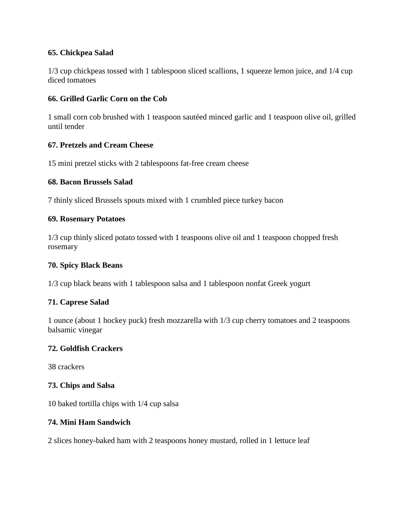## **65. Chickpea Salad**

1/3 cup chickpeas tossed with 1 tablespoon sliced scallions, 1 squeeze lemon juice, and 1/4 cup diced tomatoes

# **66. Grilled Garlic Corn on the Cob**

1 small corn cob brushed with 1 teaspoon sautéed minced garlic and 1 teaspoon olive oil, grilled until tender

### **67. Pretzels and Cream Cheese**

15 mini pretzel sticks with 2 tablespoons fat-free cream cheese

#### **68. Bacon Brussels Salad**

7 thinly sliced Brussels spouts mixed with 1 crumbled piece turkey bacon

#### **69. Rosemary Potatoes**

1/3 cup thinly sliced potato tossed with 1 teaspoons olive oil and 1 teaspoon chopped fresh rosemary

#### **70. Spicy Black Beans**

1/3 cup black beans with 1 tablespoon salsa and 1 tablespoon nonfat Greek yogurt

#### **71. Caprese Salad**

1 ounce (about 1 hockey puck) fresh mozzarella with 1/3 cup cherry tomatoes and 2 teaspoons balsamic vinegar

#### **72. Goldfish Crackers**

38 crackers

#### **73. Chips and Salsa**

10 baked tortilla chips with 1/4 cup salsa

### **74. Mini Ham Sandwich**

2 slices honey-baked ham with 2 teaspoons honey mustard, rolled in 1 lettuce leaf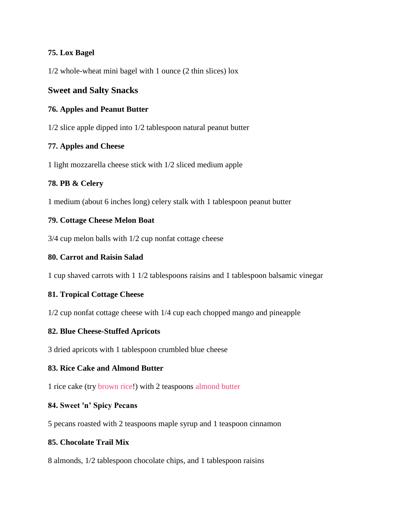# **75. Lox Bagel**

1/2 whole-wheat mini bagel with 1 ounce (2 thin slices) lox

# **Sweet and Salty Snacks**

## **76. Apples and Peanut Butter**

1/2 slice apple dipped into 1/2 tablespoon natural peanut butter

### **77. Apples and Cheese**

1 light mozzarella cheese stick with 1/2 sliced medium apple

### **78. PB & Celery**

1 medium (about 6 inches long) celery stalk with 1 tablespoon peanut butter

#### **79. Cottage Cheese Melon Boat**

3/4 cup melon balls with 1/2 cup nonfat cottage cheese

### **80. Carrot and Raisin Salad**

1 cup shaved carrots with 1 1/2 tablespoons raisins and 1 tablespoon balsamic vinegar

# **81. Tropical Cottage Cheese**

1/2 cup nonfat cottage cheese with 1/4 cup each chopped mango and pineapple

#### **82. Blue Cheese-Stuffed Apricots**

3 dried apricots with 1 tablespoon crumbled blue cheese

#### **83. Rice Cake and Almond Butter**

1 rice cake (try [brown rice!](http://www.greatist.com/health/brown-rice-vs-white-rice/)) with 2 teaspoons [almond butter](http://greatist.com/health/choose-almond-butter-over-peanut-butter)

#### **84. Sweet 'n' Spicy Pecans**

5 pecans roasted with 2 teaspoons maple syrup and 1 teaspoon cinnamon

#### **85. Chocolate Trail Mix**

8 almonds, 1/2 tablespoon chocolate chips, and 1 tablespoon raisins